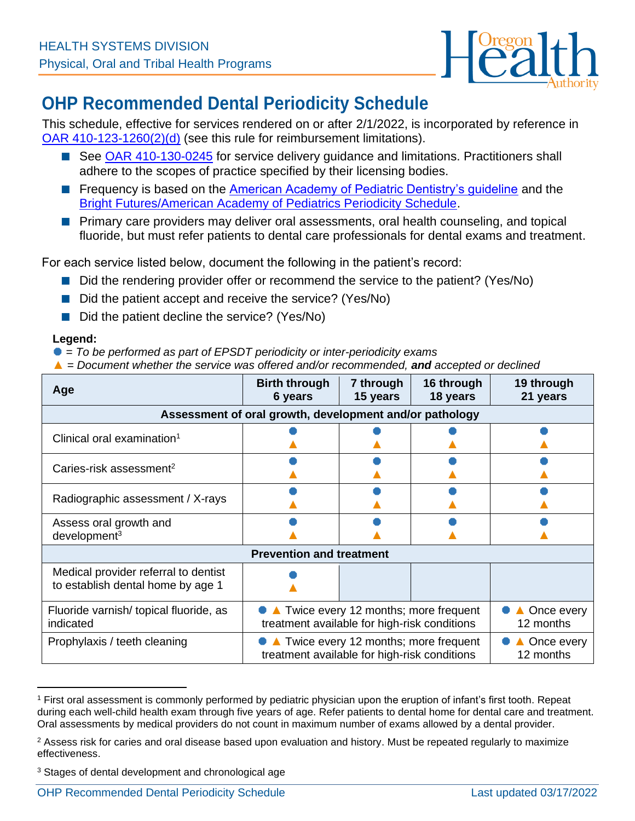

## **OHP Recommended Dental Periodicity Schedule**

This schedule, effective for services rendered on or after 2/1/2022, is incorporated by reference in [OAR 410-123-1260\(2\)\(d\)](https://secure.sos.state.or.us/oard/displayDivisionRules.action;JSESSIONID_OARD=iIe2bx6THD9UhPzWGbhRDo3vab7EFIHhdB1Z6DsBAwUTAFf8j6d3!-1212097070?selectedDivision=1711) (see this rule for reimbursement limitations).

- See [OAR 410-130-0245](https://secure.sos.state.or.us/oard/viewSingleRule.action?ruleVrsnRsn=278478) for service delivery guidance and limitations. Practitioners shall adhere to the scopes of practice specified by their licensing bodies.
- Frequency is based on the **American Academy of Pediatric Dentistry's guideline** and the [Bright Futures/American Academy of Pediatrics Periodicity Schedule.](https://downloads.aap.org/AAP/PDF/periodicity_schedule.pdf)
- Primary care providers may deliver oral assessments, oral health counseling, and topical fluoride, but must refer patients to dental care professionals for dental exams and treatment.

For each service listed below, document the following in the patient's record:

- Did the rendering provider offer or recommend the service to the patient? (Yes/No)
- Did the patient accept and receive the service? (Yes/No)
- Did the patient decline the service? (Yes/No)

## **Legend:**

- = *To be performed as part of EPSDT periodicity or inter-periodicity exams*
- ▲ = *Document whether the service was offered and/or recommended, and accepted or declined*

| Age                                                                       | <b>Birth through</b><br>6 years                                                        | 7 through<br>15 years            | 16 through<br>18 years | 19 through<br>21 years |  |  |
|---------------------------------------------------------------------------|----------------------------------------------------------------------------------------|----------------------------------|------------------------|------------------------|--|--|
| Assessment of oral growth, development and/or pathology                   |                                                                                        |                                  |                        |                        |  |  |
| Clinical oral examination <sup>1</sup>                                    |                                                                                        |                                  |                        |                        |  |  |
| Caries-risk assessment <sup>2</sup>                                       |                                                                                        |                                  |                        |                        |  |  |
| Radiographic assessment / X-rays                                          |                                                                                        |                                  |                        |                        |  |  |
| Assess oral growth and<br>$d$ evelopment $3$                              |                                                                                        |                                  |                        |                        |  |  |
| <b>Prevention and treatment</b>                                           |                                                                                        |                                  |                        |                        |  |  |
| Medical provider referral to dentist<br>to establish dental home by age 1 |                                                                                        |                                  |                        |                        |  |  |
| Fluoride varnish/ topical fluoride, as<br>indicated                       | • Twice every 12 months; more frequent<br>treatment available for high-risk conditions | Once every<br>12 months          |                        |                        |  |  |
| Prophylaxis / teeth cleaning                                              | • Twice every 12 months; more frequent<br>treatment available for high-risk conditions | <b>■ Once every</b><br>12 months |                        |                        |  |  |

<sup>1</sup> First oral assessment is commonly performed by pediatric physician upon the eruption of infant's first tooth. Repeat during each well-child health exam through five years of age. Refer patients to dental home for dental care and treatment. Oral assessments by medical providers do not count in maximum number of exams allowed by a dental provider.

<sup>&</sup>lt;sup>2</sup> Assess risk for caries and oral disease based upon evaluation and history. Must be repeated regularly to maximize effectiveness.

<sup>3</sup> Stages of dental development and chronological age